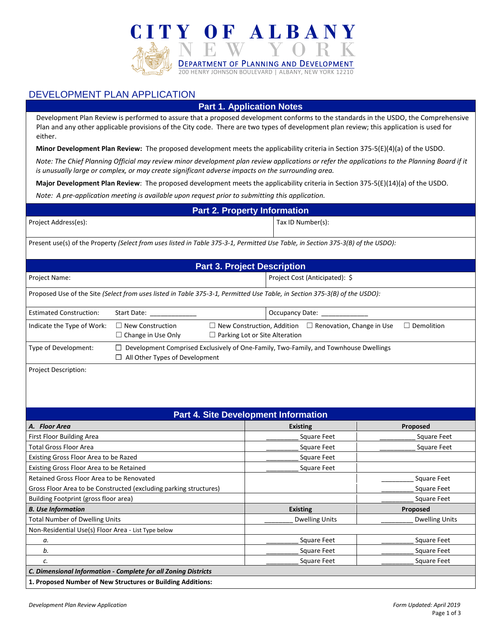

## DEVELOPMENT PLAN APPLICATION

## **Part 1. Application Notes**

Development Plan Review is performed to assure that a proposed development conforms to the standards in the USDO, the Comprehensive Plan and any other applicable provisions of the City code. There are two types of development plan review; this application is used for either.

**Minor Development Plan Review:** The proposed development meets the applicability criteria in Section 375-5(E)(4)(a) of the USDO.

*Note: The Chief Planning Official may review minor development plan review applications or refer the applications to the Planning Board if it is unusually large or complex, or may create significant adverse impacts on the surrounding area.*

**Major Development Plan Review**: The proposed development meets the applicability criteria in Section 375-5(E)(14)(a) of the USDO.

*Note: A pre-application meeting is available upon request prior to submitting this application.*

| <b>Part 2. Property Information</b> |                   |  |  |
|-------------------------------------|-------------------|--|--|
| Project Address(es):                | Tax ID Number(s): |  |  |
| .                                   |                   |  |  |

Present use(s) of the Property *(Select from uses listed in Table 375-3-1, Permitted Use Table, in Section 375-3(B) of the USDO):*

| <b>Part 3. Project Description</b>                                                                                         |                                                                                                                                      |                                                                                                                                  |                                             |                       |  |
|----------------------------------------------------------------------------------------------------------------------------|--------------------------------------------------------------------------------------------------------------------------------------|----------------------------------------------------------------------------------------------------------------------------------|---------------------------------------------|-----------------------|--|
| Project Name:                                                                                                              |                                                                                                                                      | Project Cost (Anticipated): \$                                                                                                   |                                             |                       |  |
| Proposed Use of the Site (Select from uses listed in Table 375-3-1, Permitted Use Table, in Section 375-3(B) of the USDO): |                                                                                                                                      |                                                                                                                                  |                                             |                       |  |
| <b>Estimated Construction:</b>                                                                                             | Occupancy Date: _<br>Start Date: _                                                                                                   |                                                                                                                                  |                                             |                       |  |
| Indicate the Type of Work:                                                                                                 | $\Box$ New Construction<br>$\Box$ Change in Use Only                                                                                 | $\Box$ New Construction, Addition $\Box$ Renovation, Change in Use<br>$\Box$ Demolition<br>$\Box$ Parking Lot or Site Alteration |                                             |                       |  |
| Type of Development:                                                                                                       | $\Box$ Development Comprised Exclusively of One-Family, Two-Family, and Townhouse Dwellings<br>$\Box$ All Other Types of Development |                                                                                                                                  |                                             |                       |  |
| Project Description:                                                                                                       |                                                                                                                                      |                                                                                                                                  |                                             |                       |  |
|                                                                                                                            |                                                                                                                                      |                                                                                                                                  |                                             |                       |  |
|                                                                                                                            |                                                                                                                                      |                                                                                                                                  | <b>Part 4. Site Development Information</b> |                       |  |
| A. Floor Area                                                                                                              |                                                                                                                                      |                                                                                                                                  | <b>Existing</b>                             | Proposed              |  |
| First Floor Building Area                                                                                                  |                                                                                                                                      |                                                                                                                                  | Square Feet                                 | <b>Square Feet</b>    |  |
| <b>Total Gross Floor Area</b>                                                                                              |                                                                                                                                      |                                                                                                                                  | <b>Square Feet</b>                          | <b>Square Feet</b>    |  |
| Existing Gross Floor Area to be Razed<br>Square Feet                                                                       |                                                                                                                                      |                                                                                                                                  |                                             |                       |  |
| Existing Gross Floor Area to be Retained<br>Square Feet                                                                    |                                                                                                                                      |                                                                                                                                  |                                             |                       |  |
| Retained Gross Floor Area to be Renovated<br><b>Square Feet</b>                                                            |                                                                                                                                      |                                                                                                                                  |                                             |                       |  |
| Gross Floor Area to be Constructed (excluding parking structures)<br><b>Square Feet</b>                                    |                                                                                                                                      |                                                                                                                                  |                                             |                       |  |
| Building Footprint (gross floor area)                                                                                      |                                                                                                                                      |                                                                                                                                  |                                             | <b>Square Feet</b>    |  |
| <b>B.</b> Use Information                                                                                                  |                                                                                                                                      |                                                                                                                                  | <b>Existing</b>                             | Proposed              |  |
| <b>Total Number of Dwelling Units</b>                                                                                      |                                                                                                                                      |                                                                                                                                  | <b>Dwelling Units</b>                       | <b>Dwelling Units</b> |  |
| Non-Residential Use(s) Floor Area - List Type below                                                                        |                                                                                                                                      |                                                                                                                                  |                                             |                       |  |
| а.                                                                                                                         |                                                                                                                                      |                                                                                                                                  | <b>Square Feet</b>                          | <b>Square Feet</b>    |  |
| b.                                                                                                                         |                                                                                                                                      |                                                                                                                                  | <b>Square Feet</b>                          | <b>Square Feet</b>    |  |
| <b>Square Feet</b><br><b>Square Feet</b><br>c.                                                                             |                                                                                                                                      |                                                                                                                                  |                                             |                       |  |
| C. Dimensional Information - Complete for all Zoning Districts                                                             |                                                                                                                                      |                                                                                                                                  |                                             |                       |  |
| 1. Proposed Number of New Structures or Building Additions:                                                                |                                                                                                                                      |                                                                                                                                  |                                             |                       |  |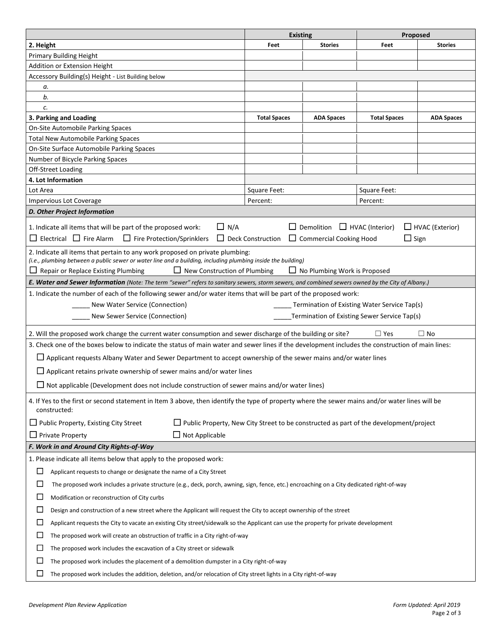|                                                                                                                                                      | <b>Existing</b>          |                                          | Proposed                                     |                        |
|------------------------------------------------------------------------------------------------------------------------------------------------------|--------------------------|------------------------------------------|----------------------------------------------|------------------------|
| 2. Height                                                                                                                                            | Feet                     | <b>Stories</b>                           | Feet                                         | <b>Stories</b>         |
| <b>Primary Building Height</b>                                                                                                                       |                          |                                          |                                              |                        |
| Addition or Extension Height                                                                                                                         |                          |                                          |                                              |                        |
| Accessory Building(s) Height - List Building below                                                                                                   |                          |                                          |                                              |                        |
| а.                                                                                                                                                   |                          |                                          |                                              |                        |
| b.                                                                                                                                                   |                          |                                          |                                              |                        |
| c.                                                                                                                                                   |                          |                                          |                                              |                        |
| 3. Parking and Loading                                                                                                                               | <b>Total Spaces</b>      | <b>ADA Spaces</b>                        | <b>Total Spaces</b>                          | <b>ADA Spaces</b>      |
| On-Site Automobile Parking Spaces                                                                                                                    |                          |                                          |                                              |                        |
| <b>Total New Automobile Parking Spaces</b>                                                                                                           |                          |                                          |                                              |                        |
| On-Site Surface Automobile Parking Spaces                                                                                                            |                          |                                          |                                              |                        |
| Number of Bicycle Parking Spaces                                                                                                                     |                          |                                          |                                              |                        |
| Off-Street Loading                                                                                                                                   |                          |                                          |                                              |                        |
| 4. Lot Information                                                                                                                                   |                          |                                          |                                              |                        |
| Lot Area                                                                                                                                             | Square Feet:             |                                          | Square Feet:                                 |                        |
| <b>Impervious Lot Coverage</b>                                                                                                                       | Percent:                 |                                          | Percent:                                     |                        |
| D. Other Project Information                                                                                                                         |                          |                                          |                                              |                        |
| $\Box$ N/A<br>1. Indicate all items that will be part of the proposed work:                                                                          |                          | $\Box$ Demolition $\Box$ HVAC (Interior) |                                              | $\Box$ HVAC (Exterior) |
| $\Box$ Electrical $\Box$ Fire Alarm $\Box$ Fire Protection/Sprinklers                                                                                | $\Box$ Deck Construction | $\Box$ Commercial Cooking Hood           | $\Box$ Sign                                  |                        |
|                                                                                                                                                      |                          |                                          |                                              |                        |
| 2. Indicate all items that pertain to any work proposed on private plumbing:                                                                         |                          |                                          |                                              |                        |
| (i.e., plumbing between a public sewer or water line and a building, including plumbing inside the building)<br>$\Box$ New Construction of Plumbing  |                          |                                          |                                              |                        |
| Repair or Replace Existing Plumbing                                                                                                                  |                          | $\Box$ No Plumbing Work is Proposed      |                                              |                        |
| E. Water and Sewer Information (Note: The term "sewer" refers to sanitary sewers, storm sewers, and combined sewers owned by the City of Albany.)    |                          |                                          |                                              |                        |
| 1. Indicate the number of each of the following sewer and/or water items that will be part of the proposed work:                                     |                          |                                          |                                              |                        |
| New Water Service (Connection)                                                                                                                       |                          |                                          | Termination of Existing Water Service Tap(s) |                        |
| New Sewer Service (Connection)                                                                                                                       |                          |                                          | Termination of Existing Sewer Service Tap(s) |                        |
| 2. Will the proposed work change the current water consumption and sewer discharge of the building or site?                                          |                          |                                          | $\Box$ Yes                                   | $\Box$ No              |
| 3. Check one of the boxes below to indicate the status of main water and sewer lines if the development includes the construction of main lines:     |                          |                                          |                                              |                        |
| $\Box$ Applicant requests Albany Water and Sewer Department to accept ownership of the sewer mains and/or water lines                                |                          |                                          |                                              |                        |
|                                                                                                                                                      |                          |                                          |                                              |                        |
| $\Box$ Applicant retains private ownership of sewer mains and/or water lines                                                                         |                          |                                          |                                              |                        |
| $\Box$ Not applicable (Development does not include construction of sewer mains and/or water lines)                                                  |                          |                                          |                                              |                        |
| 4. If Yes to the first or second statement in Item 3 above, then identify the type of property where the sewer mains and/or water lines will be      |                          |                                          |                                              |                        |
| constructed:                                                                                                                                         |                          |                                          |                                              |                        |
| $\Box$ Public Property, Existing City Street<br>$\Box$ Public Property, New City Street to be constructed as part of the development/project         |                          |                                          |                                              |                        |
|                                                                                                                                                      |                          |                                          |                                              |                        |
| $\Box$ Not Applicable<br>$\Box$ Private Property                                                                                                     |                          |                                          |                                              |                        |
| F. Work in and Around City Rights-of-Way                                                                                                             |                          |                                          |                                              |                        |
| 1. Please indicate all items below that apply to the proposed work:                                                                                  |                          |                                          |                                              |                        |
| □<br>Applicant requests to change or designate the name of a City Street                                                                             |                          |                                          |                                              |                        |
| $\Box$<br>The proposed work includes a private structure (e.g., deck, porch, awning, sign, fence, etc.) encroaching on a City dedicated right-of-way |                          |                                          |                                              |                        |
| □<br>Modification or reconstruction of City curbs                                                                                                    |                          |                                          |                                              |                        |
| $\Box$                                                                                                                                               |                          |                                          |                                              |                        |
| Design and construction of a new street where the Applicant will request the City to accept ownership of the street                                  |                          |                                          |                                              |                        |
| $\Box$<br>Applicant requests the City to vacate an existing City street/sidewalk so the Applicant can use the property for private development       |                          |                                          |                                              |                        |
| $\Box$<br>The proposed work will create an obstruction of traffic in a City right-of-way                                                             |                          |                                          |                                              |                        |
| $\Box$<br>The proposed work includes the excavation of a City street or sidewalk                                                                     |                          |                                          |                                              |                        |
| ⊔<br>The proposed work includes the placement of a demolition dumpster in a City right-of-way                                                        |                          |                                          |                                              |                        |
|                                                                                                                                                      |                          |                                          |                                              |                        |
| $\Box$<br>The proposed work includes the addition, deletion, and/or relocation of City street lights in a City right-of-way                          |                          |                                          |                                              |                        |